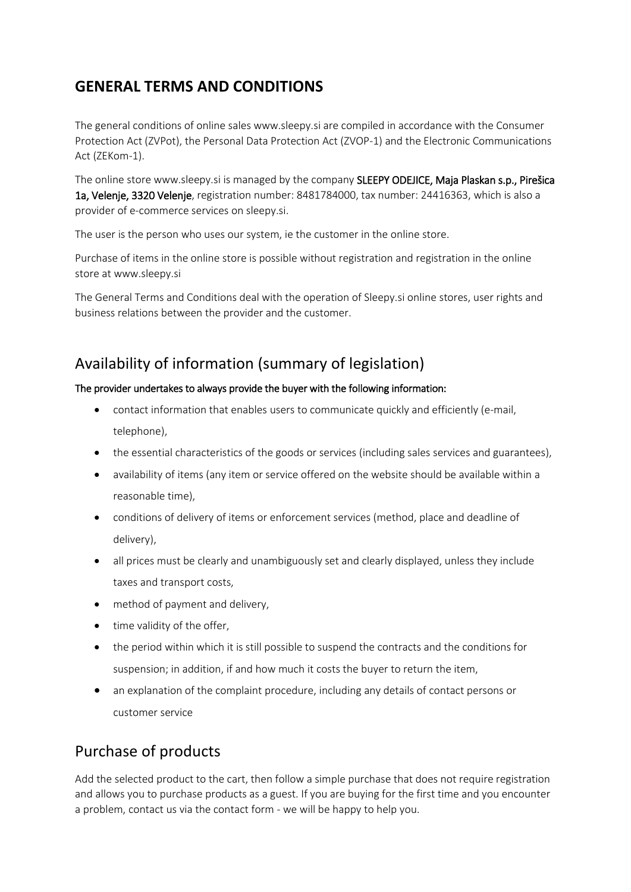# **GENERAL TERMS AND CONDITIONS**

The general conditions of online sales www.sleepy.si are compiled in accordance with the Consumer Protection Act (ZVPot), the Personal Data Protection Act (ZVOP-1) and the Electronic Communications Act (ZEKom-1).

The online store www.sleepy.si is managed by the company SLEEPY ODEJICE, Maja Plaskan s.p., Pirešica 1a, Velenje, 3320 Velenje, registration number: 8481784000, tax number: 24416363, which is also a provider of e-commerce services on sleepy.si.

The user is the person who uses our system, ie the customer in the online store.

Purchase of items in the online store is possible without registration and registration in the online store at www.sleepy.si

The General Terms and Conditions deal with the operation of Sleepy.si online stores, user rights and business relations between the provider and the customer.

# Availability of information (summary of legislation)

#### The provider undertakes to always provide the buyer with the following information:

- contact information that enables users to communicate quickly and efficiently (e-mail, telephone),
- the essential characteristics of the goods or services (including sales services and guarantees),
- availability of items (any item or service offered on the website should be available within a reasonable time),
- conditions of delivery of items or enforcement services (method, place and deadline of delivery),
- all prices must be clearly and unambiguously set and clearly displayed, unless they include taxes and transport costs,
- method of payment and delivery,
- time validity of the offer,
- the period within which it is still possible to suspend the contracts and the conditions for suspension; in addition, if and how much it costs the buyer to return the item,
- an explanation of the complaint procedure, including any details of contact persons or customer service

# Purchase of products

Add the selected product to the cart, then follow a simple purchase that does not require registration and allows you to purchase products as a guest. If you are buying for the first time and you encounter a problem, contact us via the contact form - we will be happy to help you.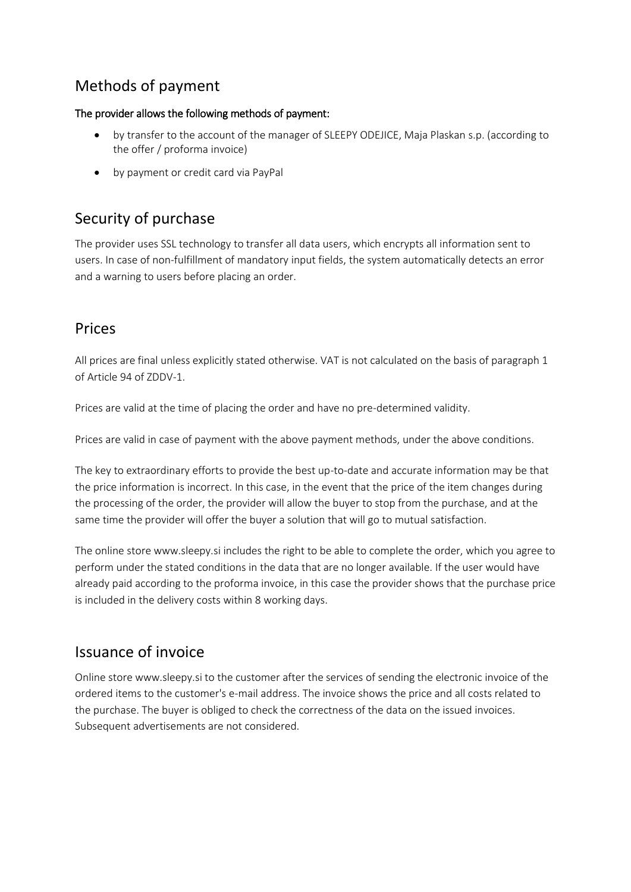# Methods of payment

#### The provider allows the following methods of payment:

- by transfer to the account of the manager of SLEEPY ODEJICE, Maja Plaskan s.p. (according to the offer / proforma invoice)
- by payment or credit card via PayPal

# Security of purchase

The provider uses SSL technology to transfer all data users, which encrypts all information sent to users. In case of non-fulfillment of mandatory input fields, the system automatically detects an error and a warning to users before placing an order.

## Prices

All prices are final unless explicitly stated otherwise. VAT is not calculated on the basis of paragraph 1 of Article 94 of ZDDV-1.

Prices are valid at the time of placing the order and have no pre-determined validity.

Prices are valid in case of payment with the above payment methods, under the above conditions.

The key to extraordinary efforts to provide the best up-to-date and accurate information may be that the price information is incorrect. In this case, in the event that the price of the item changes during the processing of the order, the provider will allow the buyer to stop from the purchase, and at the same time the provider will offer the buyer a solution that will go to mutual satisfaction.

The online store www.sleepy.si includes the right to be able to complete the order, which you agree to perform under the stated conditions in the data that are no longer available. If the user would have already paid according to the proforma invoice, in this case the provider shows that the purchase price is included in the delivery costs within 8 working days.

## Issuance of invoice

Online store www.sleepy.si to the customer after the services of sending the electronic invoice of the ordered items to the customer's e-mail address. The invoice shows the price and all costs related to the purchase. The buyer is obliged to check the correctness of the data on the issued invoices. Subsequent advertisements are not considered.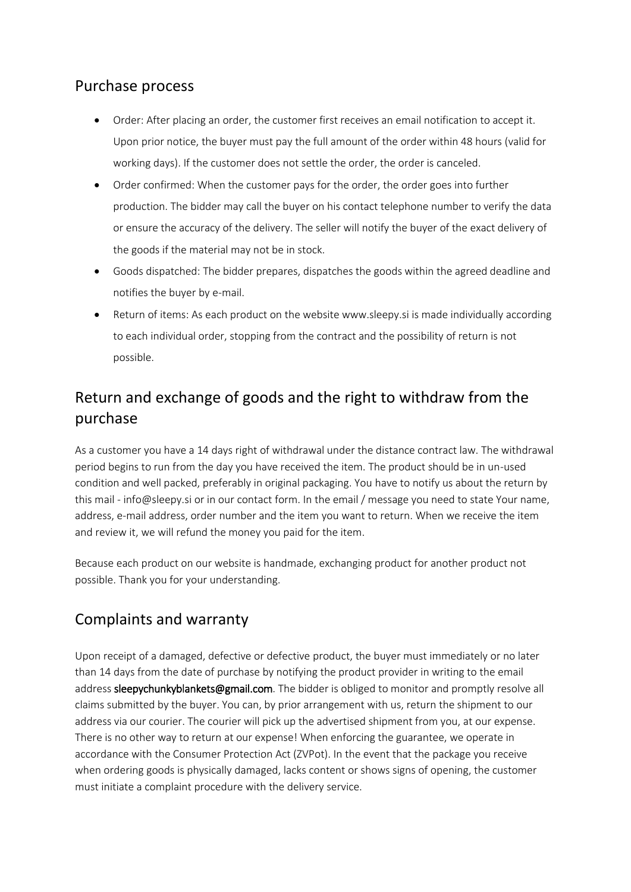### Purchase process

- Order: After placing an order, the customer first receives an email notification to accept it. Upon prior notice, the buyer must pay the full amount of the order within 48 hours (valid for working days). If the customer does not settle the order, the order is canceled.
- Order confirmed: When the customer pays for the order, the order goes into further production. The bidder may call the buyer on his contact telephone number to verify the data or ensure the accuracy of the delivery. The seller will notify the buyer of the exact delivery of the goods if the material may not be in stock.
- Goods dispatched: The bidder prepares, dispatches the goods within the agreed deadline and notifies the buyer by e-mail.
- Return of items: As each product on the website www.sleepy.si is made individually according to each individual order, stopping from the contract and the possibility of return is not possible.

# Return and exchange of goods and the right to withdraw from the purchase

As a customer you have a 14 days right of withdrawal under the distance contract law. The withdrawal period begins to run from the day you have received the item. The product should be in un-used condition and well packed, preferably in original packaging. You have to notify us about the return by this mail - info@sleepy.si or in our contact form. In the email / message you need to state Your name, address, e-mail address, order number and the item you want to return. When we receive the item and review it, we will refund the money you paid for the item.

Because each product on our website is handmade, exchanging product for another product not possible. Thank you for your understanding.

# Complaints and warranty

Upon receipt of a damaged, defective or defective product, the buyer must immediately or no later than 14 days from the date of purchase by notifying the product provider in writing to the email address sleepychunkyblankets@gmail.com. The bidder is obliged to monitor and promptly resolve all claims submitted by the buyer. You can, by prior arrangement with us, return the shipment to our address via our courier. The courier will pick up the advertised shipment from you, at our expense. There is no other way to return at our expense! When enforcing the guarantee, we operate in accordance with the Consumer Protection Act (ZVPot). In the event that the package you receive when ordering goods is physically damaged, lacks content or shows signs of opening, the customer must initiate a complaint procedure with the delivery service.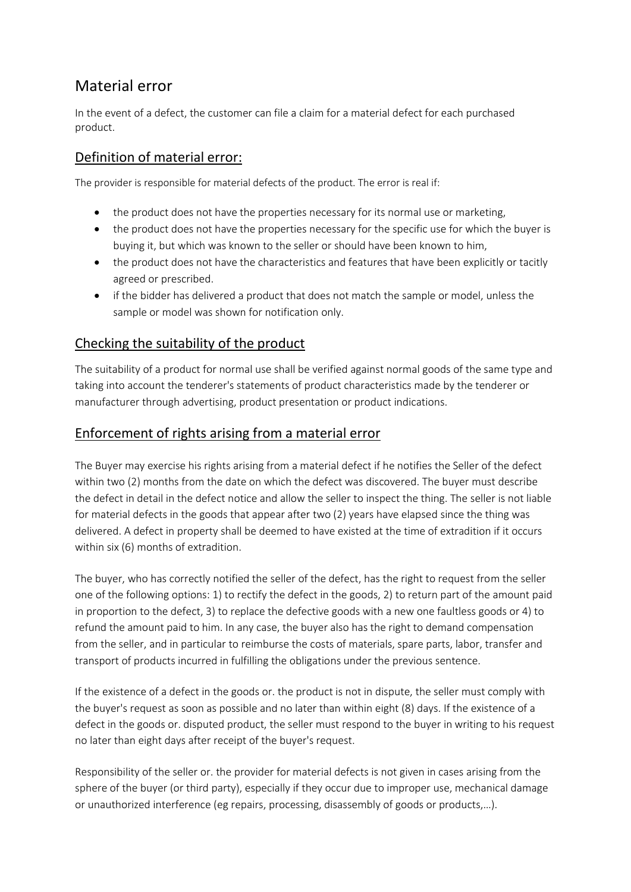# Material error

In the event of a defect, the customer can file a claim for a material defect for each purchased product.

### Definition of material error:

The provider is responsible for material defects of the product. The error is real if:

- the product does not have the properties necessary for its normal use or marketing,
- the product does not have the properties necessary for the specific use for which the buyer is buying it, but which was known to the seller or should have been known to him,
- the product does not have the characteristics and features that have been explicitly or tacitly agreed or prescribed.
- if the bidder has delivered a product that does not match the sample or model, unless the sample or model was shown for notification only.

### Checking the suitability of the product

The suitability of a product for normal use shall be verified against normal goods of the same type and taking into account the tenderer's statements of product characteristics made by the tenderer or manufacturer through advertising, product presentation or product indications.

#### Enforcement of rights arising from a material error

The Buyer may exercise his rights arising from a material defect if he notifies the Seller of the defect within two (2) months from the date on which the defect was discovered. The buyer must describe the defect in detail in the defect notice and allow the seller to inspect the thing. The seller is not liable for material defects in the goods that appear after two (2) years have elapsed since the thing was delivered. A defect in property shall be deemed to have existed at the time of extradition if it occurs within six (6) months of extradition.

The buyer, who has correctly notified the seller of the defect, has the right to request from the seller one of the following options: 1) to rectify the defect in the goods, 2) to return part of the amount paid in proportion to the defect, 3) to replace the defective goods with a new one faultless goods or 4) to refund the amount paid to him. In any case, the buyer also has the right to demand compensation from the seller, and in particular to reimburse the costs of materials, spare parts, labor, transfer and transport of products incurred in fulfilling the obligations under the previous sentence.

If the existence of a defect in the goods or. the product is not in dispute, the seller must comply with the buyer's request as soon as possible and no later than within eight (8) days. If the existence of a defect in the goods or. disputed product, the seller must respond to the buyer in writing to his request no later than eight days after receipt of the buyer's request.

Responsibility of the seller or. the provider for material defects is not given in cases arising from the sphere of the buyer (or third party), especially if they occur due to improper use, mechanical damage or unauthorized interference (eg repairs, processing, disassembly of goods or products,…).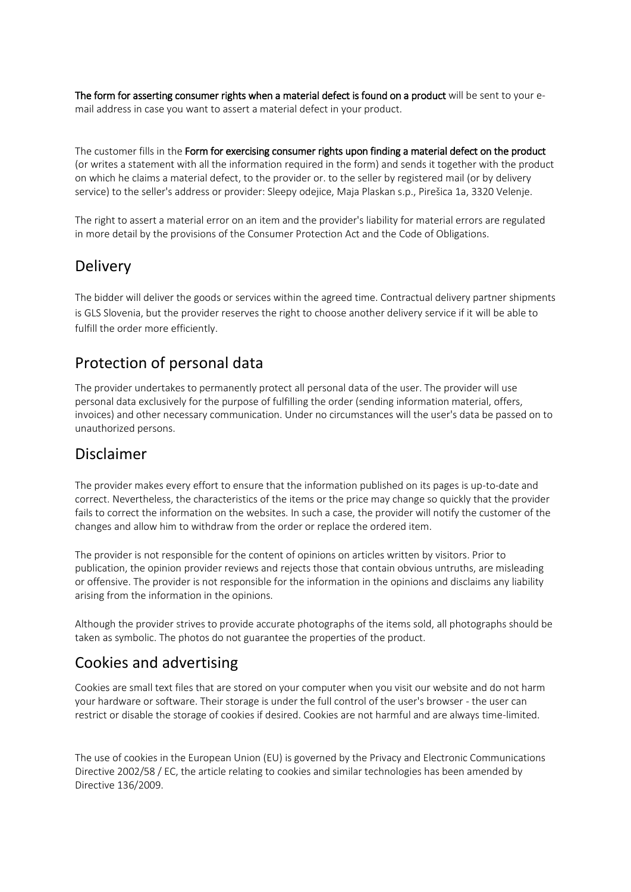The form for asserting consumer rights when a material defect is found on a product will be sent to your email address in case you want to assert a material defect in your product.

The customer fills in the Form for exercising consumer rights upon finding a material defect on the product (or writes a statement with all the information required in the form) and sends it together with the product on which he claims a material defect, to the provider or. to the seller by registered mail (or by delivery service) to the seller's address or provider: Sleepy odejice, Maja Plaskan s.p., Pirešica 1a, 3320 Velenje.

The right to assert a material error on an item and the provider's liability for material errors are regulated in more detail by the provisions of the Consumer Protection Act and the Code of Obligations.

### Delivery

The bidder will deliver the goods or services within the agreed time. Contractual delivery partner shipments is GLS Slovenia, but the provider reserves the right to choose another delivery service if it will be able to fulfill the order more efficiently.

## Protection of personal data

The provider undertakes to permanently protect all personal data of the user. The provider will use personal data exclusively for the purpose of fulfilling the order (sending information material, offers, invoices) and other necessary communication. Under no circumstances will the user's data be passed on to unauthorized persons.

### Disclaimer

The provider makes every effort to ensure that the information published on its pages is up-to-date and correct. Nevertheless, the characteristics of the items or the price may change so quickly that the provider fails to correct the information on the websites. In such a case, the provider will notify the customer of the changes and allow him to withdraw from the order or replace the ordered item.

The provider is not responsible for the content of opinions on articles written by visitors. Prior to publication, the opinion provider reviews and rejects those that contain obvious untruths, are misleading or offensive. The provider is not responsible for the information in the opinions and disclaims any liability arising from the information in the opinions.

Although the provider strives to provide accurate photographs of the items sold, all photographs should be taken as symbolic. The photos do not guarantee the properties of the product.

### Cookies and advertising

Cookies are small text files that are stored on your computer when you visit our website and do not harm your hardware or software. Their storage is under the full control of the user's browser - the user can restrict or disable the storage of cookies if desired. Cookies are not harmful and are always time-limited.

The use of cookies in the European Union (EU) is governed by the Privacy and Electronic Communications Directive 2002/58 / EC, the article relating to cookies and similar technologies has been amended by Directive 136/2009.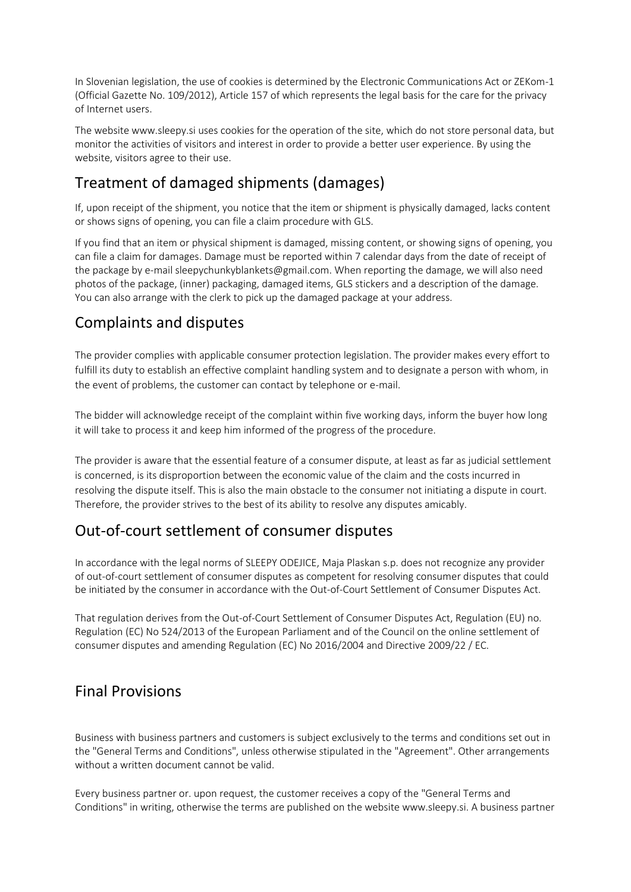In Slovenian legislation, the use of cookies is determined by the Electronic Communications Act or ZEKom-1 (Official Gazette No. 109/2012), Article 157 of which represents the legal basis for the care for the privacy of Internet users.

The website www.sleepy.si uses cookies for the operation of the site, which do not store personal data, but monitor the activities of visitors and interest in order to provide a better user experience. By using the website, visitors agree to their use.

## Treatment of damaged shipments (damages)

If, upon receipt of the shipment, you notice that the item or shipment is physically damaged, lacks content or shows signs of opening, you can file a claim procedure with GLS.

If you find that an item or physical shipment is damaged, missing content, or showing signs of opening, you can file a claim for damages. Damage must be reported within 7 calendar days from the date of receipt of the package by e-mail sleepychunkyblankets@gmail.com. When reporting the damage, we will also need photos of the package, (inner) packaging, damaged items, GLS stickers and a description of the damage. You can also arrange with the clerk to pick up the damaged package at your address.

# Complaints and disputes

The provider complies with applicable consumer protection legislation. The provider makes every effort to fulfill its duty to establish an effective complaint handling system and to designate a person with whom, in the event of problems, the customer can contact by telephone or e-mail.

The bidder will acknowledge receipt of the complaint within five working days, inform the buyer how long it will take to process it and keep him informed of the progress of the procedure.

The provider is aware that the essential feature of a consumer dispute, at least as far as judicial settlement is concerned, is its disproportion between the economic value of the claim and the costs incurred in resolving the dispute itself. This is also the main obstacle to the consumer not initiating a dispute in court. Therefore, the provider strives to the best of its ability to resolve any disputes amicably.

# Out-of-court settlement of consumer disputes

In accordance with the legal norms of SLEEPY ODEJICE, Maja Plaskan s.p. does not recognize any provider of out-of-court settlement of consumer disputes as competent for resolving consumer disputes that could be initiated by the consumer in accordance with the Out-of-Court Settlement of Consumer Disputes Act.

That regulation derives from the Out-of-Court Settlement of Consumer Disputes Act, Regulation (EU) no. Regulation (EC) No 524/2013 of the European Parliament and of the Council on the online settlement of consumer disputes and amending Regulation (EC) No 2016/2004 and Directive 2009/22 / EC.

## Final Provisions

Business with business partners and customers is subject exclusively to the terms and conditions set out in the "General Terms and Conditions", unless otherwise stipulated in the "Agreement". Other arrangements without a written document cannot be valid.

Every business partner or. upon request, the customer receives a copy of the "General Terms and Conditions" in writing, otherwise the terms are published on the website www.sleepy.si. A business partner